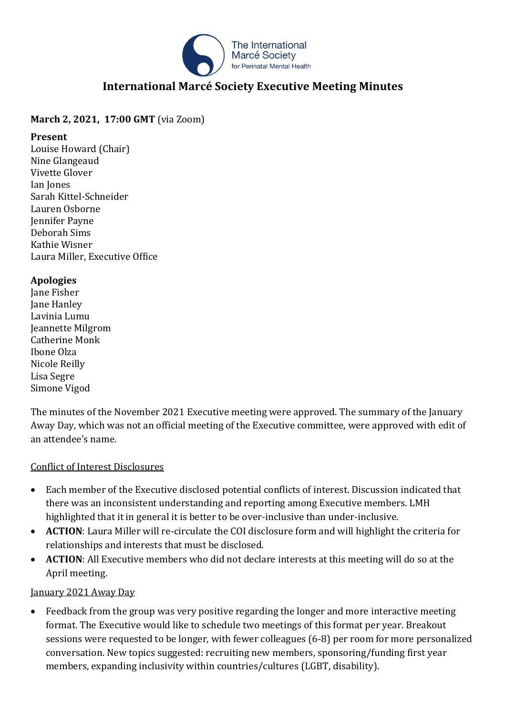

# **International Marcé Society Executive Meeting Minutes**

## **March 2, 2021, 17:00 GMT** (via Zoom)

#### **Present**

Louise Howard (Chair) Nine Glangeaud Vivette Glover Ian Jones Sarah Kittel-Schneider Lauren Osborne Jennifer Payne Deborah Sims Kathie Wisner Laura Miller, Executive Office

### **Apologies**

Jane Fisher Jane Hanley Lavinia Lumu Jeannette Milgrom Catherine Monk Ibone Olza Nicole Reilly Lisa Segre Simone Vigod

The minutes of the November 2021 Executive meeting were approved. The summary of the January Away Day, which was not an official meeting of the Executive committee, were approved with edit of an attendee's name.

### Conflict of Interest Disclosures

- Each member of the Executive disclosed potential conflicts of interest. Discussion indicated that there was an inconsistent understanding and reporting among Executive members. LMH highlighted that it in general it is better to be over-inclusive than under-inclusive.
- **ACTION**: Laura Miller will re-circulate the COI disclosure form and will highlight the criteria for relationships and interests that must be disclosed.
- **ACTION**: All Executive members who did not declare interests at this meeting will do so at the April meeting.

### January 2021 Away Day

• Feedback from the group was very positive regarding the longer and more interactive meeting format. The Executive would like to schedule two meetings of this format per year. Breakout sessions were requested to be longer, with fewer colleagues (6-8) per room for more personalized conversation. New topics suggested: recruiting new members, sponsoring/funding first year members, expanding inclusivity within countries/cultures (LGBT, disability).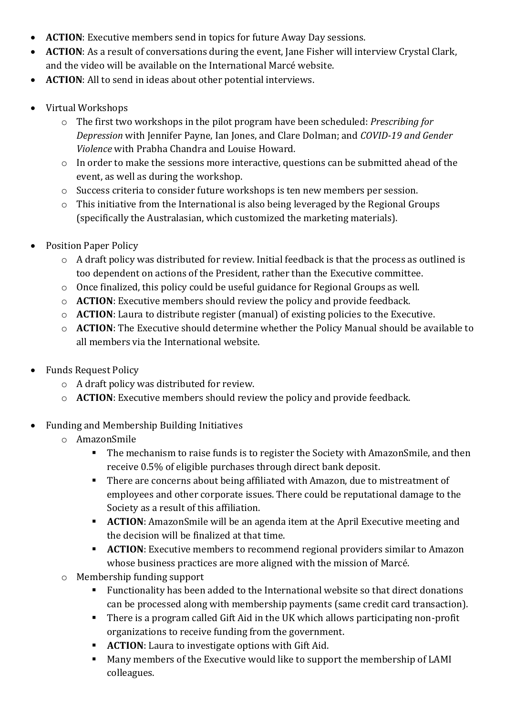- **ACTION**: Executive members send in topics for future Away Day sessions.
- **ACTION**: As a result of conversations during the event, Jane Fisher will interview Crystal Clark, and the video will be available on the International Marcé website.
- **ACTION**: All to send in ideas about other potential interviews.
- Virtual Workshops
	- o The first two workshops in the pilot program have been scheduled: *Prescribing for Depression* with Jennifer Payne, Ian Jones, and Clare Dolman; and *COVID-19 and Gender Violence* with Prabha Chandra and Louise Howard.
	- o In order to make the sessions more interactive, questions can be submitted ahead of the event, as well as during the workshop.
	- o Success criteria to consider future workshops is ten new members per session.
	- o This initiative from the International is also being leveraged by the Regional Groups (specifically the Australasian, which customized the marketing materials).
- Position Paper Policy
	- o A draft policy was distributed for review. Initial feedback is that the process as outlined is too dependent on actions of the President, rather than the Executive committee.
	- o Once finalized, this policy could be useful guidance for Regional Groups as well.
	- o **ACTION**: Executive members should review the policy and provide feedback.
	- o **ACTION**: Laura to distribute register (manual) of existing policies to the Executive.
	- o **ACTION**: The Executive should determine whether the Policy Manual should be available to all members via the International website.
- Funds Request Policy
	- o A draft policy was distributed for review.
	- o **ACTION**: Executive members should review the policy and provide feedback.
- Funding and Membership Building Initiatives
	- o AmazonSmile
		- The mechanism to raise funds is to register the Society with AmazonSmile, and then receive 0.5% of eligible purchases through direct bank deposit.
		- There are concerns about being affiliated with Amazon, due to mistreatment of employees and other corporate issues. There could be reputational damage to the Society as a result of this affiliation.
		- **EXECTION:** AmazonSmile will be an agenda item at the April Executive meeting and the decision will be finalized at that time.
		- **EXECUTION:** Executive members to recommend regional providers similar to Amazon whose business practices are more aligned with the mission of Marcé.
	- o Membership funding support
		- Functionality has been added to the International website so that direct donations can be processed along with membership payments (same credit card transaction).
		- There is a program called Gift Aid in the UK which allows participating non-profit organizations to receive funding from the government.
		- **ACTION**: Laura to investigate options with Gift Aid.
		- Many members of the Executive would like to support the membership of LAMI colleagues.